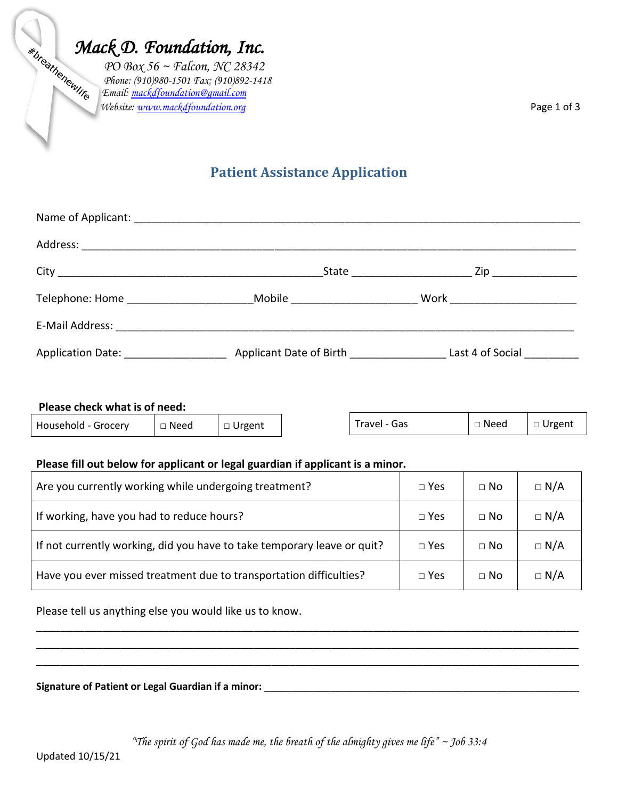*Mack D. Foundation, Inc.*<br>  $PO Box 56 \sim \text{Falcon, NC } 28342$ <br>  $PO Box 56 \sim \text{Falcon, NC } 28342$ <br>  $(910)892-141$  *PO Box 56 ~ Falcon, NC 28342 Phone: (910)980-1501 Fax: (910)892-1418 Email: [mackdfoundation@gmail.com](mailto:mackdfoundation@gmail.com) Website[: www.mackdfoundation.org](http://www.mackdfoundation.org/)* Page 1 of 3

# **Patient Assistance Application**

|                                                                                                                |                                  | Zip _______________            |
|----------------------------------------------------------------------------------------------------------------|----------------------------------|--------------------------------|
| Telephone: Home                                                                                                | Mobile <u>__________________</u> | Work _________________________ |
| E-Mail Address: 2008. 2009. 2009. 2010. 2010. 2010. 2010. 2010. 2010. 2010. 2010. 2010. 2010. 2010. 2010. 2010 |                                  |                                |
| Application Date: Applicant Date of Birth                                                                      |                                  | Last 4 of Social               |

## **Please check what is of need:**

| Household - Grocery | Need | Urgent<br>. . | Gas<br>'ravel | Need | Urgent<br><b>__</b> |
|---------------------|------|---------------|---------------|------|---------------------|
|                     |      |               |               |      |                     |

## **Please fill out below for applicant or legal guardian if applicant is a minor.**

| Are you currently working while undergoing treatment?                   | $\Box$ Yes | $\Box$ No | $\Box$ N/A |
|-------------------------------------------------------------------------|------------|-----------|------------|
| If working, have you had to reduce hours?                               | $\Box$ Yes | $\Box$ No | $\Box$ N/A |
| If not currently working, did you have to take temporary leave or quit? | $\Box$ Yes | $\Box$ No | $\Box$ N/A |
| Have you ever missed treatment due to transportation difficulties?      | $\Box$ Yes | $\Box$ No | $\Box$ N/A |

\_\_\_\_\_\_\_\_\_\_\_\_\_\_\_\_\_\_\_\_\_\_\_\_\_\_\_\_\_\_\_\_\_\_\_\_\_\_\_\_\_\_\_\_\_\_\_\_\_\_\_\_\_\_\_\_\_\_\_\_\_\_\_\_\_\_\_\_\_\_\_\_\_\_\_\_\_\_\_\_\_\_\_\_\_\_\_\_\_\_ \_\_\_\_\_\_\_\_\_\_\_\_\_\_\_\_\_\_\_\_\_\_\_\_\_\_\_\_\_\_\_\_\_\_\_\_\_\_\_\_\_\_\_\_\_\_\_\_\_\_\_\_\_\_\_\_\_\_\_\_\_\_\_\_\_\_\_\_\_\_\_\_\_\_\_\_\_\_\_\_\_\_\_\_\_\_\_\_\_\_ \_\_\_\_\_\_\_\_\_\_\_\_\_\_\_\_\_\_\_\_\_\_\_\_\_\_\_\_\_\_\_\_\_\_\_\_\_\_\_\_\_\_\_\_\_\_\_\_\_\_\_\_\_\_\_\_\_\_\_\_\_\_\_\_\_\_\_\_\_\_\_\_\_\_\_\_\_\_\_\_\_\_\_\_\_\_\_\_\_\_

Please tell us anything else you would like us to know.

#### **Signature of Patient or Legal Guardian if a minor:** \_\_\_\_\_\_\_\_\_\_\_\_\_\_\_\_\_\_\_\_\_\_\_\_\_\_\_\_\_\_\_\_\_\_\_\_\_\_\_\_\_\_\_\_\_\_\_\_\_\_\_\_\_\_\_\_\_

*"The spirit of God has made me, the breath of the almighty gives me life" ~ Job 33:4*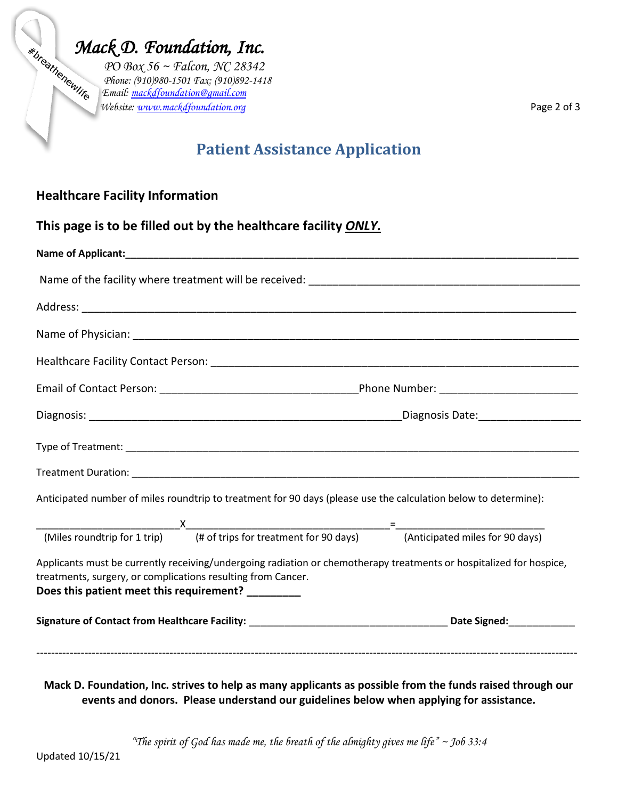*Mack D. Foundation, Inc.*<br>  $PO Box 56 \sim \text{Falcon, NC } 28342$ <br>  $(910)980-1501 \text{ Fax: } (910)892-141$  *PO Box 56 ~ Falcon, NC 28342 Phone: (910)980-1501 Fax: (910)892-1418 Email: [mackdfoundation@gmail.com](mailto:mackdfoundation@gmail.com) Website[: www.mackdfoundation.org](http://www.mackdfoundation.org/)* Page 2 of 3

# **Patient Assistance Application**

## **Healthcare Facility Information**

|                                                                                                                    | This page is to be filled out by the healthcare facility ONLY.                                                      |  |  |
|--------------------------------------------------------------------------------------------------------------------|---------------------------------------------------------------------------------------------------------------------|--|--|
|                                                                                                                    |                                                                                                                     |  |  |
|                                                                                                                    |                                                                                                                     |  |  |
|                                                                                                                    |                                                                                                                     |  |  |
|                                                                                                                    |                                                                                                                     |  |  |
|                                                                                                                    |                                                                                                                     |  |  |
|                                                                                                                    |                                                                                                                     |  |  |
|                                                                                                                    |                                                                                                                     |  |  |
|                                                                                                                    |                                                                                                                     |  |  |
|                                                                                                                    |                                                                                                                     |  |  |
|                                                                                                                    | Anticipated number of miles roundtrip to treatment for 90 days (please use the calculation below to determine):     |  |  |
|                                                                                                                    |                                                                                                                     |  |  |
|                                                                                                                    |                                                                                                                     |  |  |
| treatments, surgery, or complications resulting from Cancer.<br>Does this patient meet this requirement? _________ | Applicants must be currently receiving/undergoing radiation or chemotherapy treatments or hospitalized for hospice, |  |  |
|                                                                                                                    |                                                                                                                     |  |  |
|                                                                                                                    |                                                                                                                     |  |  |
|                                                                                                                    |                                                                                                                     |  |  |

**Mack D. Foundation, Inc. strives to help as many applicants as possible from the funds raised through our events and donors. Please understand our guidelines below when applying for assistance.** 

*"The spirit of God has made me, the breath of the almighty gives me life" ~ Job 33:4*